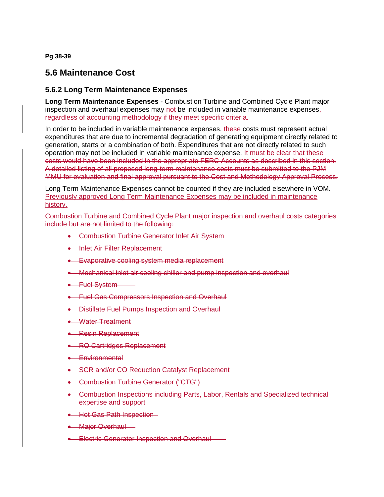**Pg 38-39**

## **5.6 Maintenance Cost**

## **5.6.2 Long Term Maintenance Expenses**

**Long Term Maintenance Expenses** - Combustion Turbine and Combined Cycle Plant major inspection and overhaul expenses may not be included in variable maintenance expenses. regardless of accounting methodology if they meet specific criteria.

In order to be included in variable maintenance expenses, these-costs must represent actual expenditures that are due to incremental degradation of generating equipment directly related to generation, starts or a combination of both. Expenditures that are not directly related to such operation may not be included in variable maintenance expense. It must be clear that these costs would have been included in the appropriate FERC Accounts as described in this section. A detailed listing of all proposed long-term maintenance costs must be submitted to the PJM MMU for evaluation and final approval pursuant to the Cost and Methodology Approval Process.

Long Term Maintenance Expenses cannot be counted if they are included elsewhere in VOM. Previously approved Long Term Maintenance Expenses may be included in maintenance history.

Combustion Turbine and Combined Cycle Plant major inspection and overhaul costs categories include but are not limited to the following:

- **Combustion Turbine Generator Inlet Air System**
- **Inlet Air Filter Replacement**
- **Evaporative cooling system media replacement**
- **•** Mechanical inlet air cooling chiller and pump inspection and overhaul
- **•** Fuel System
- **Fuel Gas Compressors Inspection and Overhaul**
- **•** Distillate Fuel Pumps Inspection and Overhaul
- **•** Water Treatment
- **Resin Replacement**
- **RO Cartridges Replacement**
- **Environmental**
- SCR and/or CO Reduction Catalyst Replacement
- **•** Combustion Turbine Generator ("CTG")
- Combustion Inspections including Parts, Labor, Rentals and Specialized technical expertise and support
- **+ Hot Gas Path Inspection**
- Major Overhaul -
- **Electric Generator Inspection and Overhaul-**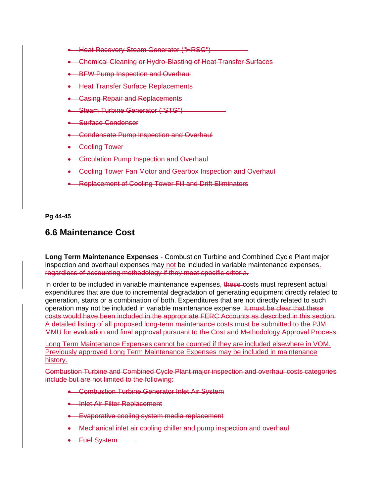- **Heat Recovery Steam Generator ("HRSG")**
- **Chemical Cleaning or Hydro-Blasting of Heat Transfer Surfaces**
- **BFW Pump Inspection and Overhaul**
- **Heat Transfer Surface Replacements**
- Casing Repair and Replacements
- Steam Turbine Generator ("STG")
- **Surface Condenser**
- **•** Condensate Pump Inspection and Overhaul
- **•** Cooling Tower
- **•** Circulation Pump Inspection and Overhaul
- **Cooling Tower Fan Motor and Gearbox Inspection and Overhaul**
- **Replacement of Cooling Tower Fill and Drift Eliminators**

**Pg 44-45**

## **6.6 Maintenance Cost**

**Long Term Maintenance Expenses** - Combustion Turbine and Combined Cycle Plant major inspection and overhaul expenses may not be included in variable maintenance expenses. regardless of accounting methodology if they meet specific criteria.

In order to be included in variable maintenance expenses, these-costs must represent actual expenditures that are due to incremental degradation of generating equipment directly related to generation, starts or a combination of both. Expenditures that are not directly related to such operation may not be included in variable maintenance expense. It must be clear that these costs would have been included in the appropriate FERC Accounts as described in this section. A detailed listing of all proposed long-term maintenance costs must be submitted to the PJM MMU for evaluation and final approval pursuant to the Cost and Methodology Approval Process.

Long Term Maintenance Expenses cannot be counted if they are included elsewhere in VOM. Previously approved Long Term Maintenance Expenses may be included in maintenance history.

Combustion Turbine and Combined Cycle Plant major inspection and overhaul costs categories include but are not limited to the following:

- **Combustion Turbine Generator Inlet Air System**
- Inlet Air Filter Replacement
- **Evaporative cooling system media replacement**
- Mechanical inlet air cooling chiller and pump inspection and overhaul
- **•** Fuel System